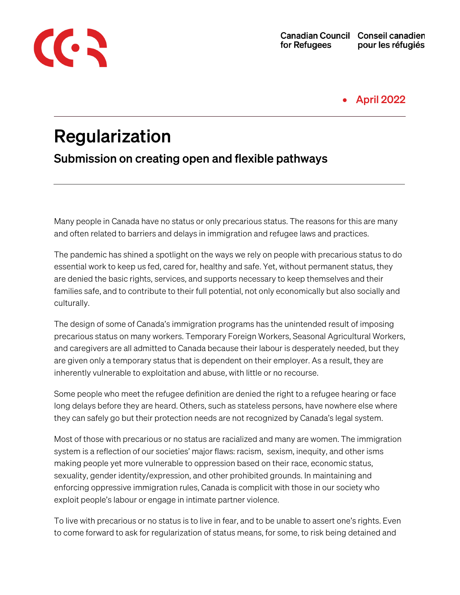

#### • April 2022

# Regularization

Submission on creating open and flexible pathways

Many people in Canada have no status or only precarious status. The reasons for this are many and often related to barriers and delays in immigration and refugee laws and practices.

The pandemic has shined a spotlight on the ways we rely on people with precarious status to do essential work to keep us fed, cared for, healthy and safe. Yet, without permanent status, they are denied the basic rights, services, and supports necessary to keep themselves and their families safe, and to contribute to their full potential, not only economically but also socially and culturally.

The design of some of Canada's immigration programs has the unintended result of imposing precarious status on many workers. Temporary Foreign Workers, Seasonal Agricultural Workers, and caregivers are all admitted to Canada because their labour is desperately needed, but they are given only a temporary status that is dependent on their employer. As a result, they are inherently vulnerable to exploitation and abuse, with little or no recourse.

Some people who meet the refugee definition are denied the right to a refugee hearing or face long delays before they are heard. Others, such as stateless persons, have nowhere else where they can safely go but their protection needs are not recognized by Canada's legal system.

Most of those with precarious or no status are racialized and many are women. The immigration system is a reflection of our societies' major flaws: racism, sexism, inequity, and other isms making people yet more vulnerable to oppression based on their race, economic status, sexuality, gender identity/expression, and other prohibited grounds. In maintaining and enforcing oppressive immigration rules, Canada is complicit with those in our society who exploit people's labour or engage in intimate partner violence.

To live with precarious or no status is to live in fear, and to be unable to assert one's rights. Even to come forward to ask for regularization of status means, for some, to risk being detained and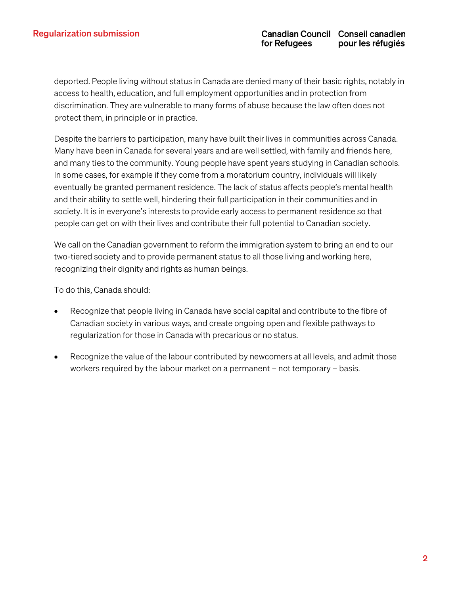deported. People living without status in Canada are denied many of their basic rights, notably in access to health, education, and full employment opportunities and in protection from discrimination. They are vulnerable to many forms of abuse because the law often does not protect them, in principle or in practice.

Despite the barriers to participation, many have built their lives in communities across Canada. Many have been in Canada for several years and are well settled, with family and friends here, and many ties to the community. Young people have spent years studying in Canadian schools. In some cases, for example if they come from a moratorium country, individuals will likely eventually be granted permanent residence. The lack of status affects people's mental health and their ability to settle well, hindering their full participation in their communities and in society. It is in everyone's interests to provide early access to permanent residence so that people can get on with their lives and contribute their full potential to Canadian society.

We call on the Canadian government to reform the immigration system to bring an end to our two-tiered society and to provide permanent status to all those living and working here, recognizing their dignity and rights as human beings.

To do this, Canada should:

- Recognize that people living in Canada have social capital and contribute to the fibre of Canadian society in various ways, and create ongoing open and flexible pathways to regularization for those in Canada with precarious or no status.
- Recognize the value of the labour contributed by newcomers at all levels, and admit those workers required by the labour market on a permanent – not temporary – basis.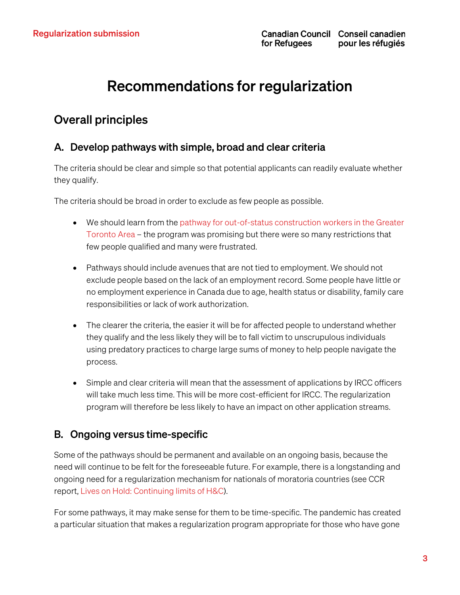# Recommendations for regularization

# Overall principles

#### A. Develop pathways with simple, broad and clear criteria

The criteria should be clear and simple so that potential applicants can readily evaluate whether they qualify.

The criteria should be broad in order to exclude as few people as possible.

- We should learn from th[e pathway for out-of-status construction](https://canadianlabour.ca/permanentresidence/) workers in the Greater [Toronto Area](https://canadianlabour.ca/permanentresidence/) – the program was promising but there were so many restrictions that few people qualified and many were frustrated.
- Pathways should include avenues that are not tied to employment. We should not exclude people based on the lack of an employment record. Some people have little or no employment experience in Canada due to age, health status or disability, family care responsibilities or lack of work authorization.
- The clearer the criteria, the easier it will be for affected people to understand whether they qualify and the less likely they will be to fall victim to unscrupulous individuals using predatory practices to charge large sums of money to help people navigate the process.
- Simple and clear criteria will mean that the assessment of applications by IRCC officers will take much less time. This will be more cost-efficient for IRCC. The regularization program will therefore be less likely to have an impact on other application streams.

#### B. Ongoing versus time-specific

Some of the pathways should be permanent and available on an ongoing basis, because the need will continue to be felt for the foreseeable future. For example, there is a longstanding and ongoing need for a regularization mechanism for nationals of moratoria countries (see CCR report, [Lives on Hold: Continuing limits of H&C\)](https://ccrweb.ca/en/lives-hold-continuing-limits-hc).

For some pathways, it may make sense for them to be time-specific. The pandemic has created a particular situation that makes a regularization program appropriate for those who have gone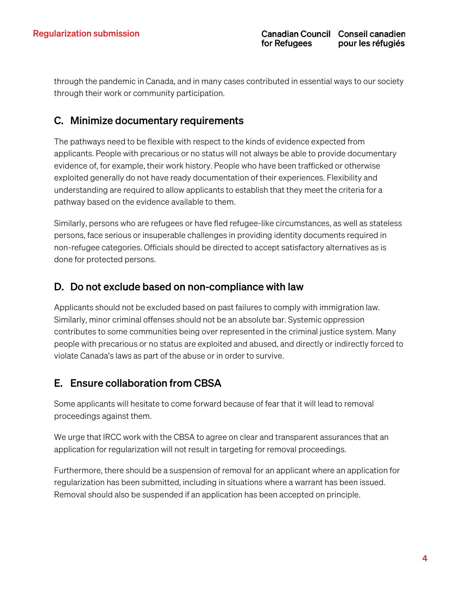through the pandemic in Canada, and in many cases contributed in essential ways to our society through their work or community participation.

#### C. Minimize documentary requirements

The pathways need to be flexible with respect to the kinds of evidence expected from applicants. People with precarious or no status will not always be able to provide documentary evidence of, for example, their work history. People who have been trafficked or otherwise exploited generally do not have ready documentation of their experiences. Flexibility and understanding are required to allow applicants to establish that they meet the criteria for a pathway based on the evidence available to them.

Similarly, persons who are refugees or have fled refugee-like circumstances, as well as stateless persons, face serious or insuperable challenges in providing identity documents required in non-refugee categories. Officials should be directed to accept satisfactory alternatives as is done for protected persons.

#### D. Do not exclude based on non-compliance with law

Applicants should not be excluded based on past failures to comply with immigration law. Similarly, minor criminal offenses should not be an absolute bar. Systemic oppression contributes to some communities being over represented in the criminal justice system. Many people with precarious or no status are exploited and abused, and directly or indirectly forced to violate Canada's laws as part of the abuse or in order to survive.

#### E. Ensure collaboration from CBSA

Some applicants will hesitate to come forward because of fear that it will lead to removal proceedings against them.

We urge that IRCC work with the CBSA to agree on clear and transparent assurances that an application for regularization will not result in targeting for removal proceedings.

Furthermore, there should be a suspension of removal for an applicant where an application for regularization has been submitted, including in situations where a warrant has been issued. Removal should also be suspended if an application has been accepted on principle.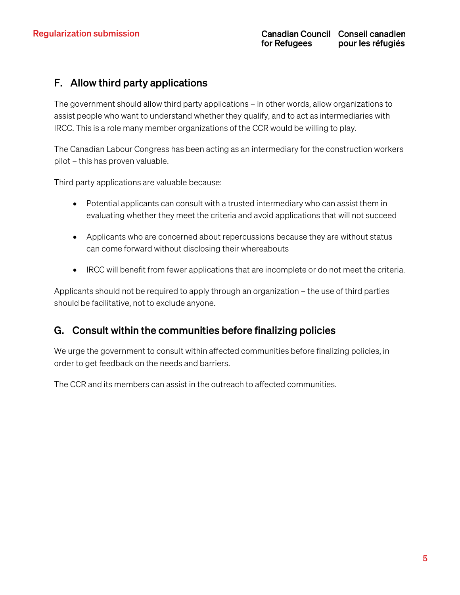#### F. Allow third party applications

The government should allow third party applications – in other words, allow organizations to assist people who want to understand whether they qualify, and to act as intermediaries with IRCC. This is a role many member organizations of the CCR would be willing to play.

The Canadian Labour Congress has been acting as an intermediary for the construction workers pilot – this has proven valuable.

Third party applications are valuable because:

- Potential applicants can consult with a trusted intermediary who can assist them in evaluating whether they meet the criteria and avoid applications that will not succeed
- Applicants who are concerned about repercussions because they are without status can come forward without disclosing their whereabouts
- IRCC will benefit from fewer applications that are incomplete or do not meet the criteria.

Applicants should not be required to apply through an organization – the use of third parties should be facilitative, not to exclude anyone.

#### G. Consult within the communities before finalizing policies

We urge the government to consult within affected communities before finalizing policies, in order to get feedback on the needs and barriers.

The CCR and its members can assist in the outreach to affected communities.